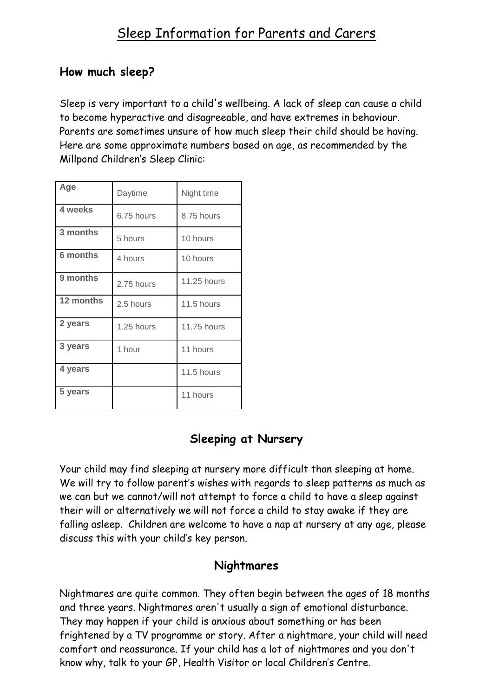## **How much sleep?**

Sleep is very important to a child's wellbeing. A lack of sleep can cause a child to become hyperactive and disagreeable, and have extremes in behaviour. Parents are sometimes unsure of how much sleep their child should be having. Here are some approximate numbers based on age, as recommended by the Millpond Children's Sleep Clinic:

| Age             | Daytime    | Night time  |
|-----------------|------------|-------------|
| 4 weeks         | 6.75 hours | 8.75 hours  |
| 3 months        | 5 hours    | 10 hours    |
| <b>6 months</b> | 4 hours    | 10 hours    |
| 9 months        | 2.75 hours | 11.25 hours |
| 12 months       | 2.5 hours  | 11.5 hours  |
| 2 years         | 1.25 hours | 11.75 hours |
| 3 years         | 1 hour     | 11 hours    |
| 4 years         |            | 11.5 hours  |
| 5 years         |            | 11 hours    |

# **Sleeping at Nursery**

Your child may find sleeping at nursery more difficult than sleeping at home. We will try to follow parent's wishes with regards to sleep patterns as much as we can but we cannot/will not attempt to force a child to have a sleep against their will or alternatively we will not force a child to stay awake if they are falling asleep. Children are welcome to have a nap at nursery at any age, please discuss this with your child's key person.

### **Nightmares**

Nightmares are quite common. They often begin between the ages of 18 months and three years. Nightmares aren't usually a sign of emotional disturbance. They may happen if your child is anxious about something or has been frightened by a TV programme or story. After a nightmare, your child will need comfort and reassurance. If your child has a lot of nightmares and you don't know why, talk to your GP, Health Visitor or local Children's Centre.